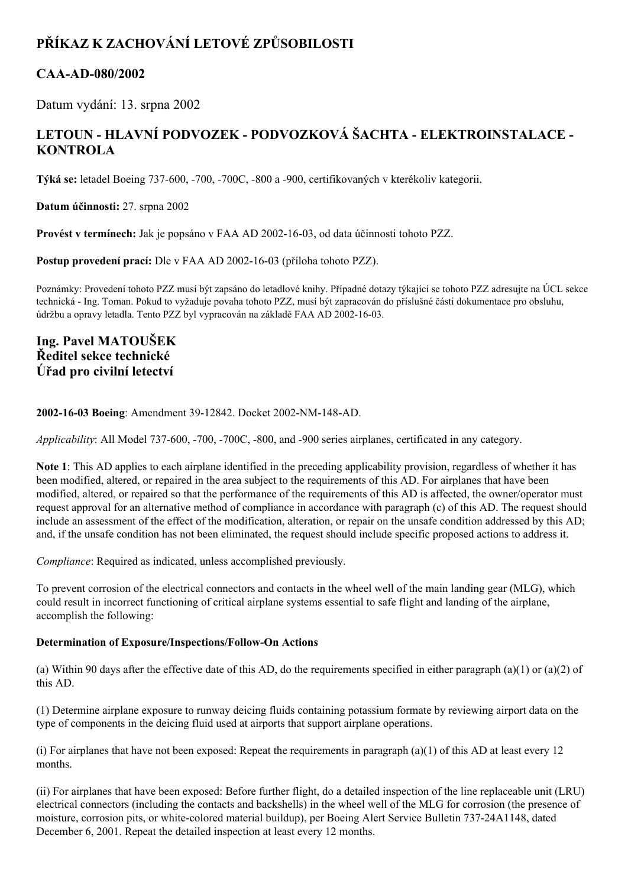# **PŘÍKAZ K ZACHOVÁNÍ LETOVÉ ZPŮSOBILOSTI**

## **CAAAD080/2002**

Datum vydání: 13. srpna 2002

## **LETOUN HLAVNÍ PODVOZEK PODVOZKOVÁ ŠACHTA ELEKTROINSTALACE KONTROLA**

**Týká se:** letadel Boeing 737600, 700, 700C, 800 a 900, certifikovaných v kterékoliv kategorii.

**Datum účinnosti:** 27. srpna 2002

**Provést v termínech:** Jak je popsáno v FAA AD 2002-16-03, od data účinnosti tohoto PZZ.

**Postup provedení prací:** Dle v FAA AD 2002-16-03 (příloha tohoto PZZ).

Poznámky: Provedení tohoto PZZ musí být zapsáno do letadlové knihy. Případné dotazy týkající se tohoto PZZ adresujte na ÚCL sekce technická - Ing. Toman. Pokud to vyžaduje povaha tohoto PZZ, musí být zapracován do příslušné části dokumentace pro obsluhu, údržbu a opravy letadla. Tento PZZ byl vypracován na základě FAA AD 2002-16-03.

### **Ing. Pavel MATOUŠEK Ředitel sekce technické Úřad pro civilní letectví**

#### **2002-16-03 Boeing: Amendment 39-12842. Docket 2002-NM-148-AD.**

*Applicability*: All Model 737-600, -700, -700C, -800, and -900 series airplanes, certificated in any category.

**Note 1**: This AD applies to each airplane identified in the preceding applicability provision, regardless of whether it has been modified, altered, or repaired in the area subject to the requirements of this AD. For airplanes that have been modified, altered, or repaired so that the performance of the requirements of this AD is affected, the owner/operator must request approval for an alternative method of compliance in accordance with paragraph (c) of this AD. The request should include an assessment of the effect of the modification, alteration, or repair on the unsafe condition addressed by this AD; and, if the unsafe condition has not been eliminated, the request should include specific proposed actions to address it.

*Compliance*: Required as indicated, unless accomplished previously.

To prevent corrosion of the electrical connectors and contacts in the wheel well of the main landing gear (MLG), which could result in incorrect functioning of critical airplane systems essential to safe flight and landing of the airplane, accomplish the following:

#### **Determination of Exposure/Inspections/FollowOn Actions**

(a) Within 90 days after the effective date of this AD, do the requirements specified in either paragraph  $(a)(1)$  or  $(a)(2)$  of this AD.

(1) Determine airplane exposure to runway deicing fluids containing potassium formate by reviewing airport data on the type of components in the deicing fluid used at airports that support airplane operations.

(i) For airplanes that have not been exposed: Repeat the requirements in paragraph (a)(1) of this AD at least every 12 months.

(ii) For airplanes that have been exposed: Before further flight, do a detailed inspection of the line replaceable unit (LRU) electrical connectors (including the contacts and backshells) in the wheel well of the MLG for corrosion (the presence of moisture, corrosion pits, or white-colored material buildup), per Boeing Alert Service Bulletin 737-24A1148, dated December 6, 2001. Repeat the detailed inspection at least every 12 months.